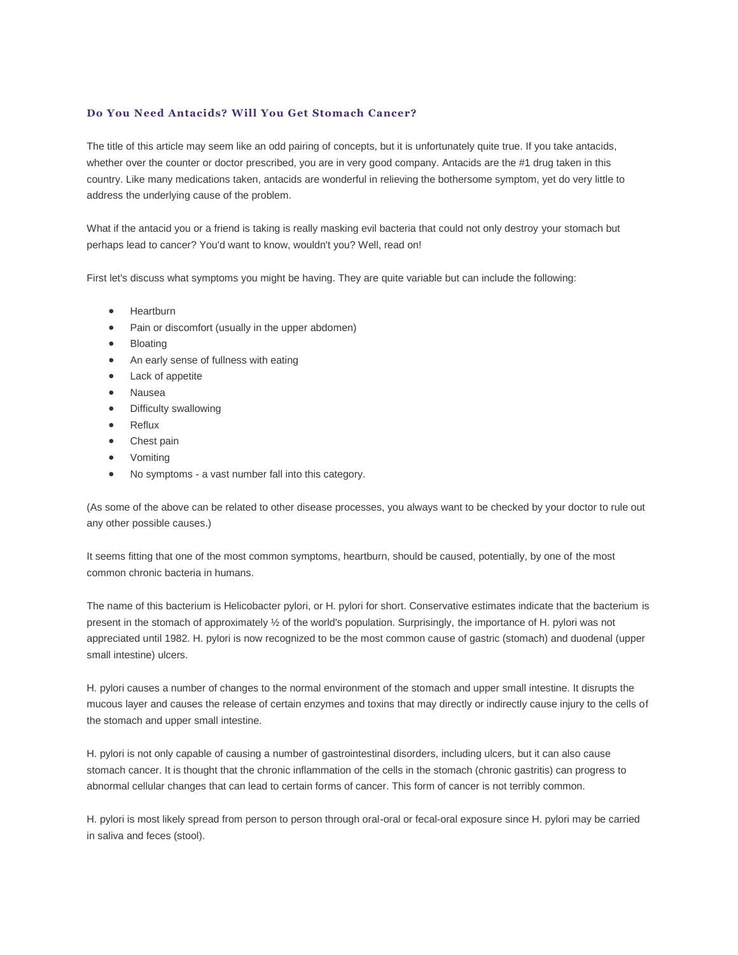## **Do You Need Antacids? Will You Get Stomach Cancer?**

The title of this article may seem like an odd pairing of concepts, but it is unfortunately quite true. If you take antacids, whether over the counter or doctor prescribed, you are in very good company. Antacids are the #1 drug taken in this country. Like many medications taken, antacids are wonderful in relieving the bothersome symptom, yet do very little to address the underlying cause of the problem.

What if the antacid you or a friend is taking is really masking evil bacteria that could not only destroy your stomach but perhaps lead to cancer? You'd want to know, wouldn't you? Well, read on!

First let's discuss what symptoms you might be having. They are quite variable but can include the following:

- **•** Heartburn
- Pain or discomfort (usually in the upper abdomen)
- Bloating
- An early sense of fullness with eating
- Lack of appetite
- Nausea
- Difficulty swallowing
- Reflux
- Chest pain
- Vomiting
- No symptoms a vast number fall into this category.

(As some of the above can be related to other disease processes, you always want to be checked by your doctor to rule out any other possible causes.)

It seems fitting that one of the most common symptoms, heartburn, should be caused, potentially, by one of the most common chronic bacteria in humans.

The name of this bacterium is Helicobacter pylori, or H. pylori for short. Conservative estimates indicate that the bacterium is present in the stomach of approximately ½ of the world's population. Surprisingly, the importance of H. pylori was not appreciated until 1982. H. pylori is now recognized to be the most common cause of gastric (stomach) and duodenal (upper small intestine) ulcers.

H. pylori causes a number of changes to the normal environment of the stomach and upper small intestine. It disrupts the mucous layer and causes the release of certain enzymes and toxins that may directly or indirectly cause injury to the cells of the stomach and upper small intestine.

H. pylori is not only capable of causing a number of gastrointestinal disorders, including ulcers, but it can also cause stomach cancer. It is thought that the chronic inflammation of the cells in the stomach (chronic gastritis) can progress to abnormal cellular changes that can lead to certain forms of cancer. This form of cancer is not terribly common.

H. pylori is most likely spread from person to person through oral-oral or fecal-oral exposure since H. pylori may be carried in saliva and feces (stool).